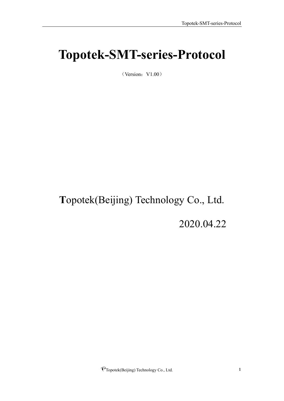# <span id="page-0-0"></span>**Topotek-SMT-series-Protocol**

 $(Version:V1.00)$ 

# **T**opotek(Beijing) Technology Co., Ltd.

2020.04.22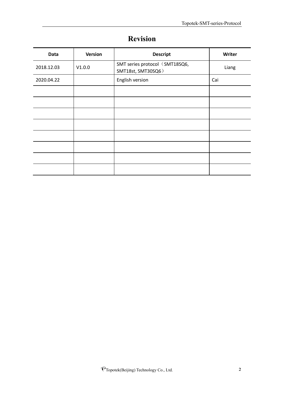|                 | $\bullet$ |  |
|-----------------|-----------|--|
| <b>Revision</b> |           |  |
|                 |           |  |

<span id="page-1-0"></span>

| <b>Data</b> | <b>Version</b> | <b>Descript</b>                                      | Writer |
|-------------|----------------|------------------------------------------------------|--------|
| 2018.12.03  | V1.0.0         | SMT series protocol (SMT18SQ6,<br>SMT18st, SMT30SQ6) | Liang  |
| 2020.04.22  |                | English version                                      | Cai    |
|             |                |                                                      |        |
|             |                |                                                      |        |
|             |                |                                                      |        |
|             |                |                                                      |        |
|             |                |                                                      |        |
|             |                |                                                      |        |
|             |                |                                                      |        |
|             |                |                                                      |        |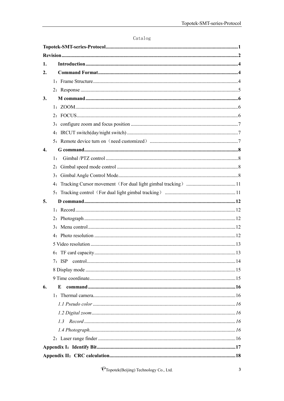| ∴atalog |  |
|---------|--|
|---------|--|

| 1.                 |        |  |
|--------------------|--------|--|
| $\overline{2}$ .   |        |  |
|                    |        |  |
|                    |        |  |
| 3.                 |        |  |
|                    |        |  |
|                    |        |  |
|                    |        |  |
|                    |        |  |
|                    |        |  |
| $\boldsymbol{4}$ . |        |  |
|                    | 1:     |  |
|                    |        |  |
|                    | 3:     |  |
|                    |        |  |
|                    |        |  |
| 5.                 |        |  |
|                    |        |  |
|                    |        |  |
|                    | 3:     |  |
|                    |        |  |
|                    |        |  |
|                    |        |  |
|                    | 7: ISP |  |
|                    |        |  |
|                    |        |  |
| 6.                 | E      |  |
|                    |        |  |
|                    |        |  |
|                    |        |  |
|                    |        |  |
|                    |        |  |
|                    |        |  |
|                    |        |  |
|                    |        |  |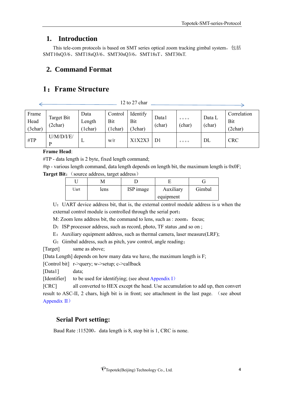# <span id="page-3-0"></span>**1. Introduction**

This tele-com protocols is based on SMT series optical zoom tracking gimbal system, 包括 SMT10sQ3/6、SMT18sQ3/6、SMT30sQ3/6, SMT18sT、SMT30sT.

# <span id="page-3-1"></span>**2. Command Format**

# <span id="page-3-2"></span>**1**:**Frame Structure**

12 to 27 char

| Frame<br>Head<br>(3char) | Target Bit<br>(2char) | Data<br>Length<br>1char) | Control<br>Bit<br>1char | Identify<br>Bit<br>(3char) | Data1<br>(char) | 0000<br>(char) | Data L<br>(char) | Correlation<br>Bit<br>(2char) |
|--------------------------|-----------------------|--------------------------|-------------------------|----------------------------|-----------------|----------------|------------------|-------------------------------|
| $\#TP$                   | U/M/D/I/E/<br>D       | ┻                        | W/r                     | X1X2X3                     | D1              | 0000           | DL               | <b>CRC</b>                    |

#### **Frame Head**:

#TP - data length is 2 byte, fixed length command;

#tp - various length command, data length depends on length bit, the maximum length is 0x0F; **Target Bit:** (source address, target address)

| Uart | lens | ISP image | Auxiliary | Gimbal |
|------|------|-----------|-----------|--------|
|      |      |           | equipment |        |

U:UART device address bit, that is, the external control module address is u when the external control module is controlled through the serial port;

M: Zoom lens address bit, the command to lens, such as : zoom, focus;

D: ISP processor address, such as record, photo, TF status ,and so on ;

E:Auxiliary equipment address, such as thermal camera, laser measure(LRF);

G: Gimbal address, such as pitch, yaw control, angle reading;

[Target] same as above;

[Data Length] depends on how many data we have, the maximum length is F;

[Control bit] r->query; w->setup; c->callback

[Data1] data;

[Identifier] to be used for identifying; (see about Appendix I)

[CRC] all converted to HEX except the head. Use accumulation to add up, then convert result to ASC-II, 2 chars, high bit is in front; see attachment in the last page. (see about Appendix II)

# **Serial Port setting:**

Baud Rate :115200, data length is 8, stop bit is 1, CRC is none.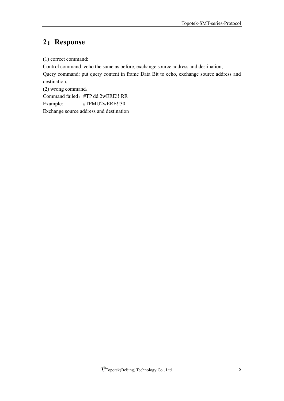# <span id="page-4-0"></span>**2**:**Response**

(1) correct command:

Control command: echo the same as before, exchange source address and destination; Query command: put query content in frame Data Bit to echo, exchange source address and destination;

(2) wrong command: Command failed:#TP dd 2wERE!! RR Example: #TPMU2wERE!!30 Exchange source address and destination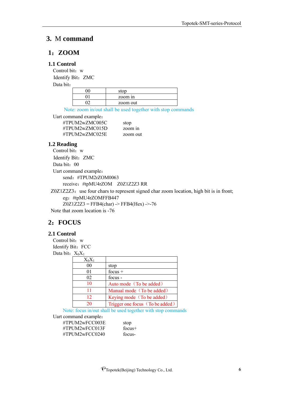## <span id="page-5-0"></span>**3.** M **command**

#### <span id="page-5-1"></span>**1**:**ZOOM**

#### **1.1 Control**

Control bit: w Identify Bit: ZMC

Data bit:

| stop     |
|----------|
| zoom in  |
| zoom out |

Note: zoom in/out shall be used together with stop commands

Uart command example:

| #TPUM2wZMC005C | stop     |
|----------------|----------|
| #TPUM2wZMC015D | zoom in  |
| #TPUM2wZMC025E | zoom out |

#### **1.2 Reading**

Control bit: w Identify Bit: ZMC Data bit: 00 Uart command example: send: #TPUM2rZOM0063 receive:#tpMU4rZOM Z0Z1Z2Z3 RR

Z0Z1Z2Z3: use four chars to represent signed char zoom location, high bit is in front; eg:#tpMU4rZOMFFB447  $Z0Z1Z2Z3 = FFB4(char)$  ->  $FFB4(Hex)$  ->-76

Note that zoom location is -76

# <span id="page-5-2"></span>**2**:**FOCUS**

#### **2.1 Control**

Control bit: w Identify Bit: FCC Data bit:  $X_0X_1$ 

| $X_0X_1$ |                                 |
|----------|---------------------------------|
| 00       | stop                            |
| 01       | focus $+$                       |
| 02       | focus -                         |
| 10       | Auto mode (To be added)         |
| 11       | Manual mode (To be added)       |
| 12       | Keying mode (To be added)       |
| 20       | Trigger one focus (To be added) |

Note: focus in/out shall be used together with stop commands

Uart command example:

#TPUM2wFCC003E stop #TPUM2wFCC013F focus+ #TPUM2wFCC0240 focus-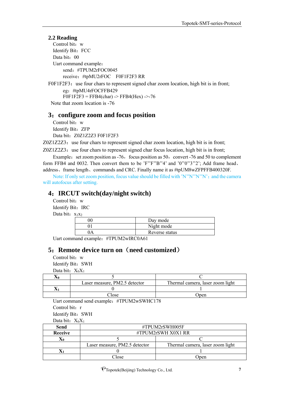#### **2.2 Reading**

Control bit: w Identify Bit: FCC Data bit: 00 Uart command example: send:#TPUM2rFOC0045 receive:#tpMU2rFOC F0F1F2F3 RR

F0F1F2F3: use four chars to represent signed char zoom location, high bit is in front; eg:#tpMU4rFOCFFB429  $F0F1F2F3 = FFB4(char)$  ->  $FFB4(Hex)$  ->-76 Note that zoom location is -76

#### <span id="page-6-0"></span>**3**:**configure zoom and focus position**

Control bit: w Identify Bit: ZFP Data bit: Z0Z1Z2Z3 F0F1F2F3

 $Z0Z1Z2Z3$ : use four chars to represent signed char zoom location, high bit is in front;

 $Z0Z1Z2Z3$ : use four chars to represent signed char focus location, high bit is in front; Example: set zoom position as  $-76$ , focus position as  $50$ , convert  $-76$  and  $50$  to complement

form FFB4 and 0032. Then convert them to be 'F''F''B''4' and '0''0''3''2'; Add frame head, address、frame length、commands and CRC. Finally name it as #tpUM8wZFPFFB400320F.

Note: If only set zoom position, focus value should be filled with 'N''N''N''N'; and the camera will autofocus after setting.

# <span id="page-6-1"></span>**4**:**IRCUT switch(day/night switch)**

Control bit: w Identify Bit: IRC Data bit:  $x_1x_2$ 

| Day mode       |
|----------------|
| Night mode     |
| Reverse status |

Uart command example: #TPUM2wIRC0A61

# <span id="page-6-2"></span>**5**:**Remote device turn on**(**need customized**)

Control bit: w Identify Bit: SWH

Data bit:  $X_0X_1$ 

| Laser measure, PM2.5 detector | Thermal camera, laser zoom light |
|-------------------------------|----------------------------------|
|                               |                                  |
| $\gamma$ lose                 | Jpen                             |

Uart command send example:#TPUM2wSWHC178

Control bit: r

Identify Bit: SWH

Data bit:  $X_0X_1$ 

| Send           | #TPUM2rSWH005F                |                                  |  |
|----------------|-------------------------------|----------------------------------|--|
| <b>Receive</b> | $\#TPUM2rSWH X0X1 RR$         |                                  |  |
|                |                               |                                  |  |
|                | Laser measure, PM2.5 detector | Thermal camera, laser zoom light |  |
|                |                               |                                  |  |
|                | Close                         | Jpen                             |  |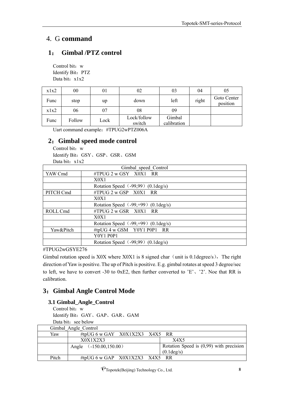# <span id="page-7-0"></span>4. G **command**

# <span id="page-7-1"></span>**1**: **Gimbal /PTZ control**

Control bit: w Identify Bit: PTZ Data bit: x1x2

| x1x2 | 00     | 01   | 02                    | 03                    | 04    | 05                      |
|------|--------|------|-----------------------|-----------------------|-------|-------------------------|
| Func | stop   | up   | down                  | left                  | right | Goto Center<br>position |
| x1x2 | 06     | 07   | 08                    | 09                    |       |                         |
| Func | Follow | Lock | Lock/follow<br>switch | Gimbal<br>calibration |       |                         |

Uart command example:#TPUG2wPTZ006A

# <span id="page-7-2"></span>**2**:**Gimbal speed mode control**

Control bit: w Identify Bit:GSY、GSP、GSR、GSM Data bit: x1x2

|           | Gimbal speed Control                           |  |
|-----------|------------------------------------------------|--|
| YAW Cmd   | #TPUG 2 w GSY X0X1 RR                          |  |
|           | X0X1                                           |  |
|           | Rotation Speed (-99,99) (0.1 deg/s)            |  |
| PITCH Cmd | $\#TPUG$ 2 w GSP $X0X1$ RR                     |  |
|           | X0X1                                           |  |
|           | Rotation Speed $(-99, +99)$ (0.1 deg/s)        |  |
| ROLL Cmd  | $\#TPUG$ 2 w GSR $X0X1$ RR                     |  |
|           | X0X1                                           |  |
|           | Rotation Speed $(-99, +99)$ (0.1 deg/s)        |  |
| Yaw&Pitch | #tpUG 4 w GSM Y0Y1 P0P1 RR                     |  |
|           | <b>Y0Y1 P0P1</b>                               |  |
|           | Rotation Speed $(-99,99)$ $(0.1 \text{deg/s})$ |  |

#TPUG2wGSYE276

Gimbal rotation speed is X0X where X0X1 is 8 signed char (unit is 0.1degree/s), The right direction of Yaw is positive. The up of Pitch is positive. E.g. gimbal rotates at speed 3 degree/sec to left, we have to convert -30 to 0xE2, then further converted to 'E'、'2'. Noe that RR is calibration.

# <span id="page-7-3"></span>**3**:**Gimbal Angle Control Mode**

# **3.1 Gimbal\_Angle\_Control**

Control bit: w Identify Bit:GAY、GAP、GAR、GAM Data bit: see below

|       | Gimbal Angle Control             |                                                         |
|-------|----------------------------------|---------------------------------------------------------|
| Yaw   | #tpUG 6 w GAY $X0X1X2X3$ X4X5 RR |                                                         |
|       | X0X1X2X3                         | X4X5                                                    |
|       | Angle $(.150.00, 150.00)$        | Rotation Speed is $(0,99)$ with precision<br>(0.1deg/s) |
|       |                                  |                                                         |
| Pitch | #tpUG 6 w GAP $X0X1X2X3$ X4X5 RR |                                                         |

PTopotek(Beijing) Technology Co., Ltd. 8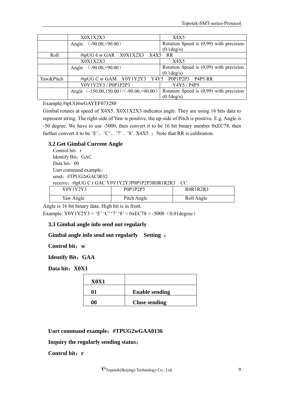|           | X0X1X2X3                               | X4X5                                      |
|-----------|----------------------------------------|-------------------------------------------|
|           | $(.90.00,+90.00)$<br>Angle             | Rotation Speed is $(0,99)$ with precision |
|           |                                        | $(0.1 \text{deg/s})$                      |
| Roll      | #tpUG 6 w GAR X0X1X2X3 X4X5 RR         |                                           |
|           | X0X1X2X3                               | X4X5                                      |
|           | $(.90.00,+90.00)$<br>Angle             | Rotation Speed is $(0,99)$ with precision |
|           |                                        | $(0.1 \text{deg/s})$                      |
| Yaw&Pitch | #tpUG C w GAM Y0Y1Y2Y3 Y4Y5 P0P1P2P3   | P4P5 RR                                   |
|           | Y0Y1Y2Y3 / P0P1P2P3                    | Y4Y5 / P4P5                               |
|           | Angle (-150.00,150.00)/(-90.00,+90.00) | Rotation Speed is $(0,99)$ with precision |
|           |                                        | (0.1deg/s)                                |

#### Example:#tpUG6wGAYEF073288

Gimbal rotates at speed of X4X5. X0X1X2X3 indicates angle. They are using 16 bits data to represent string. The right-side of Yaw is positive, the up-side of Pitch is positive. E.g. Angle is -50 degree. We have to use -5000, then convert it to be 16 bit binary number 0xEC78, then further convert it to be 'E', 'C', '7', '8'. X4X5 ; Note that RR is calibration.

#### **3.2 Get Gimbal Current Angle**

Control bit: r Identify Bit: GAC Data bit: 00 Uart command example: send: #TPUG2rGAC0032 receive:#tpUG C r GAC Y0Y1Y2Y3P0P1P2P3R0R1R2R3 CC

| Y0Y1Y2Y3  | P0P1P2P3    | ROR1R2R3   |
|-----------|-------------|------------|
| Yaw Angle | Pitch Angle | Roll Angle |

Angle is 16 bit binary data. High bit is in front.

Example: Y0Y1Y2Y3 = 'E' 'C' '7' '8' = 0xEC78 = -5000 (0.01degree)

#### **3.3 Gimbal angle info send out regularly**

#### **Gimbal angle info send out regularly Setting** :

**Control bit**:**w**

**Identify Bit**:**GAA**

**Data bit**:**X0X1**

| <b>X0X1</b> |                       |
|-------------|-----------------------|
| Λ1          | <b>Enable sending</b> |
| ሰሰ          | <b>Close sending</b>  |

**Uart command example**:**#TPUG2wGAA0136**

#### **Inquiry the regularly sending status**:

**Control bit**:**r**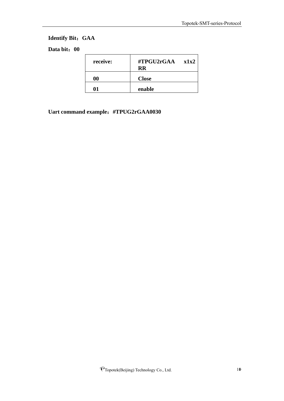# **Identify Bit**:**GAA**

# **Data bit**:**00**

| receive: | #TPGU2rGAA<br><b>RR</b> | x1x2 |
|----------|-------------------------|------|
| 00       | <b>Close</b>            |      |
| Λ1       | enable                  |      |

**Uart command example**:**#TPUG2rGAA0030**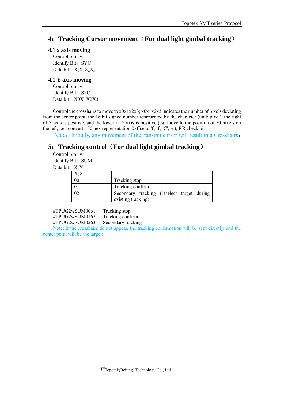# <span id="page-10-0"></span>**4**:**Tracking Cursor movement**(**For dual light gimbal tracking**)

#### **4.1 x axis moving**

Control bit: w Identify Bit: SYC Data bit: X<sub>0</sub>X<sub>1</sub>X<sub>2</sub>X<sub>3</sub>

#### **4.1 Y axis moving**

Control bit: w Identify Bit: SPC Data bit: X0X1X2X3

Control the crosshairs to move to x0x1x2x3; x0x1x2x3 indicates the number of pixels deviating from the center point, the 16 bit signed number represented by the character (unit: pixel), the right of X axis is positive, and the lower of Y axis is positive (eg: move to the position of 50 pixels on the left, i.e., convert - 50 hex representation 0xffce to  $f'$ ,  $f'$ ,  $C'$ ,  $e'$ ); RR check bit

Note: Initially, any movement of the transmit cursor will result in a Crosshairs;

# <span id="page-10-1"></span>**5**:**Tracking control**(**For dual light gimbal tracking**)

Control bit: w Identify Bit: SUM Data bit:  $X_0X_1$ 

| $X_0X_1$ |                                                                  |
|----------|------------------------------------------------------------------|
| 00       | Tracking stop                                                    |
|          | Tracking confirm                                                 |
|          | Secondary tracking (reselect target during<br>existing tracking) |

#TPUG2wSUM0061 Tracking stop #TPUG2wSUM0162 Tracking confirm #TPUG2wSUM0263 Secondary tracking

Note: if the crosshairs do not appear, the tracking confirmation will be sent directly, and the center point will be the target;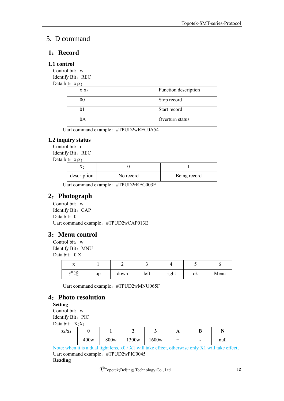# <span id="page-11-0"></span>5. D command

## <span id="page-11-1"></span>**1**:**Record**

#### **1.1 control**

Control bit: w Identify Bit: REC

Data bit:  $x_1x_2$ 

| $X_1X_2$ | Function description |
|----------|----------------------|
|          | Stop record          |
|          | Start record         |
| A        | Overturn status      |

Uart command example:#TPUD2wREC0A54

#### **1.2 inquiry status**

Control bit: r Identify Bit: REC Data bit:  $x_1x_2$ 

 $X_2$  0 1 description No record Being record

Uart command example:#TPUD2rREC003E

# <span id="page-11-2"></span>**2**:**Photograph**

Control bit: w Identify Bit: CAP Data bit: 0 1 Uart command example:#TPUD2wCAP013E

# <span id="page-11-3"></span>**3**:**Menu control**

Control bit: w Identify Bit: MNU Data bit: 0 X

| $\overline{\phantom{a}}$ |    | -    |      |       |    |      |
|--------------------------|----|------|------|-------|----|------|
| 描述                       | up | down | left | right | ok | Menu |

Uart command example:#TPUD2wMNU065F

# <span id="page-11-4"></span>**4**:**Photo resolution**

**Setting**

Control bit: w

Identify Bit: PIC Data bit:  $X_0X_1$ 

| $\alpha$ $\alpha$ $\alpha$ $\beta$ $\alpha$ $\beta$ $\alpha$ $\beta$ |      |      |                   |                   |  |                          |      |  |
|----------------------------------------------------------------------|------|------|-------------------|-------------------|--|--------------------------|------|--|
| $X_1/X_2$                                                            |      |      |                   | ີ                 |  | D                        |      |  |
|                                                                      | 400w | 800w | 1300 <sub>w</sub> | 1600 <sub>w</sub> |  | $\overline{\phantom{0}}$ | null |  |

Note: when it is a dual light lens,  $x0 / X1$  will take effect, otherwise only X1 will take effect; Uart command example:#TPUD2wPIC0045

#### **Reading**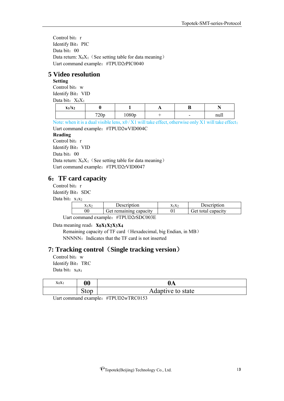Control bit: r Identify Bit: PIC Data bit: 00 Data return:  $X_0X_1$  (See setting table for data meaning) Uart command example:#TPUD2rPIC0040

## <span id="page-12-0"></span>**5 Video resolution**

**Setting**

Control bit: w Identify Bit: VID Data bit:  $X_0X_1$ 

| $x_1/x_2$ |      |       | . . | v                        |      |
|-----------|------|-------|-----|--------------------------|------|
|           | 720p | 1080p |     | $\overline{\phantom{0}}$ | null |

Note: when it is a dual visible lens, x0 / X1 will take effect, otherwise only X1 will take effect; Uart command example:#TPUD2wVID004C

#### **Reading**

Control bit: r

Identify Bit: VID

Data bit: 00

Data return:  $X_0X_1$  (See setting table for data meaning) Uart command example:#TPUD2rVID0047

# <span id="page-12-1"></span>**6**:**TF card capacity**

Control bit: r

Identify Bit: SDC

Data bit:  $x_1x_2$ 

| $X_1X_2$ | Description                             | $X_1X_2$ | Description        |
|----------|-----------------------------------------|----------|--------------------|
|          | Get remaining capacity                  |          | Get total capacity |
|          | $\mu$ TDI IDQ $\alpha$ D $\alpha$ 002 E |          |                    |

Uart command example: #TPUD2rSDC003E

Data meaning read:**x0x1x2x3x<sup>4</sup>**

Remaining capacity of TF card (Hexadecimal, big Endian, in MB) NNNNN: Indicates that the TF card is not inserted

# **7: Tracking control**(**Single tracking version**)

Control bit: w Identify Bit: TRC Data bit:  $x_0x_1$ 

| $X_0X_1$ | $\boldsymbol{00}$ | 0A                |
|----------|-------------------|-------------------|
|          | ນເບ⊔              | Adaptive to state |

Uart command example: #TPUD2wTRC0153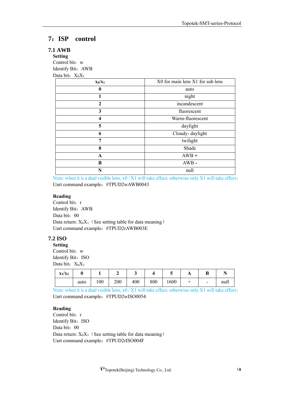# <span id="page-13-0"></span>**7**:**ISP control**

#### **7.1 AWB**

**Setting** Control bit: w Identify Bit:AWB Data bit:  $X_0X_1$ 

| $x_0/x_1$    | X0 for main lens X1 for sub lens |
|--------------|----------------------------------|
| $\mathbf{0}$ | auto                             |
|              | night                            |
| $\mathbf{2}$ | incandescent                     |
| 3            | fluorescent                      |
| 4            | Warm-fluorescent                 |
| 5            | daylight                         |
| 6            | Cloudy-daylight                  |
| 7            | twilight                         |
| 8            | Shade                            |
| A            | $AWB +$                          |
| B            | $AWB -$                          |
| N            | null                             |

Note: when it is a dual visible lens, x0 / X1 will take effect, otherwise only X1 will take effect; Uart command example:#TPUD2wAWB0043

#### **Reading**

Control bit: r Identify Bit:AWB Data bit: 00 Data return:  $X_0X_1$  (See setting table for data meaning) Uart command example:#TPUD2rAWB003E

#### **7.2 ISO**

**Setting** Control bit: w Identify Bit: ISO Data bit:  $X_0X_1$ 

| $x_1/x_2$ | U    |     |     | ັ   |     | ັ    | A | v                        | M    |
|-----------|------|-----|-----|-----|-----|------|---|--------------------------|------|
|           | auto | 100 | 200 | 400 | 800 | 1600 |   | $\overline{\phantom{a}}$ | null |

Note: when it is a dual visible lens, x0 / X1 will take effect, otherwise only X1 will take effect; Uart command example:#TPUD2wISO0054

#### **Reading**

Control bit: r Identify Bit: ISO Data bit: 00 Data return:  $X_0X_1$  (See setting table for data meaning) Uart command example:#TPUD2rISO004F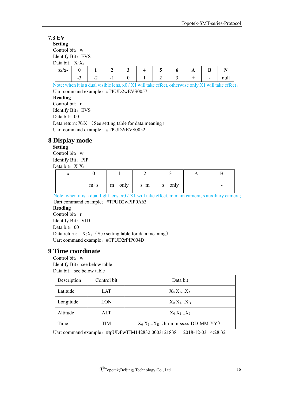#### **7.3 EV**

**Setting**

Control bit: w Identify Bit: EVS

 $\overline{D}_{\text{obs}}$  bit:  $\overline{V}$ . $\overline{V}$ 

| Data bit: $\Lambda$ <sub>0</sub> $\Lambda$ <sub>1</sub><br>$x_1/x_2$ |        |                 | -                        |  | ັ | $\overline{1}$ | D |      |
|----------------------------------------------------------------------|--------|-----------------|--------------------------|--|---|----------------|---|------|
|                                                                      | -<br>— | $\sim$ $\prime$ | $\overline{\phantom{a}}$ |  | - |                | - | null |

Note: when it is a dual visible lens, x0 / X1 will take effect, otherwise only X1 will take effect; Uart command example:#TPUD2wEVS0057 **Reading** Control bit: r Identify Bit: EVS Data bit: 00 Data return:  $X_0X_1$  (See setting table for data meaning) Uart command example:#TPUD2rEVS0052

# <span id="page-14-0"></span>**8 Display mode**

**Setting** Control bit: w Identify Bit: PIP Data bit:  $X_0X_1$ 

| $\lambda$ |       |                                                             |        |   |
|-----------|-------|-------------------------------------------------------------|--------|---|
|           | $m+s$ | $\left  \begin{array}{cc} m & only \end{array} \right $ s+m | s only | - |

Note: when it is a dual light lens,  $x0 / X1$  will take effect, m main camera, s auxiliary camera; Uart command example:#TPUD2wPIP0A63

#### **Reading**

Control bit: r Identify Bit: VID Data bit: 00 Data return:  $X_0X_1$  (See setting table for data meaning) Uart command example:#TPUD2rPIP004D

#### <span id="page-14-1"></span>**9 Time coordinate**

Control bit: w Identify Bit: see below table Data bit: see below table

| Description | Control bit | Data bit                            |
|-------------|-------------|-------------------------------------|
| Latitude    | LAT         | $X_0 X_1X_A$                        |
| Longitude   | LON         | $X_0 X_1X_B$                        |
| Altitude    | ALT         | $X_0 X_1X_5$                        |
| Time        | TIM         | $X_0 X_1X_E$ (hh-mm-ss.ss-DD-MM-YY) |

Uart command example: #tpUDFwTIM142832.0003121838 2018-12-03 14:28:32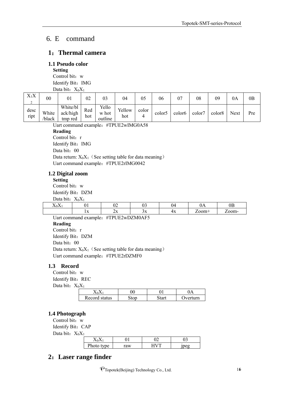# <span id="page-15-0"></span>6. E command

### <span id="page-15-1"></span>**1**:**Thermal camera**

#### <span id="page-15-2"></span>**1.1 Pseudo color**

**Setting** Control bit: w Identify Bit: IMG Data bit:  $X_0X_1$ 

| $X_1X$<br>$\sim$<br>∸ | $00\,$         | 01                              | 02         | 03                        | 04            | 05    | 06                 | 07                 | $_{08}$ | 09                 | 0A   | 0B  |
|-----------------------|----------------|---------------------------------|------------|---------------------------|---------------|-------|--------------------|--------------------|---------|--------------------|------|-----|
| desc<br>ript          | White<br>black | White/bl<br>ack/high<br>tmp red | Red<br>hot | Yello<br>w hot<br>outline | Yellow<br>hot | color | color <sub>5</sub> | color <sub>6</sub> | color7  | color <sub>8</sub> | Next | Pre |

Uart command example: #TPUE2wIMG0A58 **Reading**

Control bit: r Identify Bit: IMG Data bit: 00 Data return:  $X_0X_1$  (See setting table for data meaning) Uart command example:#TPUE2rIMG0042

#### <span id="page-15-3"></span>**1.2 Digital zoom**

**Setting**

Control bit: w Identify Bit: DZM Data bit:  $X_0X_1$ 

| 24.04    |                  |                     |               |    |      |               |
|----------|------------------|---------------------|---------------|----|------|---------------|
| ∡ ▲∪∡ ▲⊥ | . .              | $\sim$ $\sim$<br>∪∠ | ັ             | ıД | UI L | $_{0b}$       |
|          | $\overline{111}$ | 41 X X              | $\sim$ $\sim$ | тΛ | ാ∩ന+ | $\gamma$ om - |
| $ -$     |                  | . . ____ _ _ __ _   | ________      |    |      |               |

Uart command example: #TPUE2wDZM0AF5 **Reading** Control bit: r Identify Bit: DZM Data bit: 00 Data return:  $X_0X_1$  (See setting table for data meaning) Uart command example: #TPUE2rDZMF0

#### <span id="page-15-4"></span>**1.3 Record**

Control bit: w Identify Bit: REC

Data bit:  $X_0X_1$ 

| Record<br>status | ~~ | ``1rn |
|------------------|----|-------|

#### <span id="page-15-5"></span>**1.4 Photograph**

Control bit: w Identify Bit: CAP Data bit:  $X_0X_1$ 

| $-1$ |                  |    |   |
|------|------------------|----|---|
|      |                  |    | ັ |
|      | D.<br><b>vne</b> | аw |   |

# <span id="page-15-6"></span>**2**:**Laser range finder**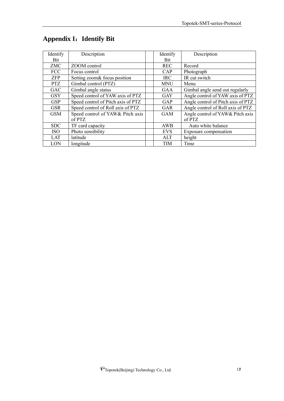| Identify   | Description                        | Identify   | Description                        |
|------------|------------------------------------|------------|------------------------------------|
| Bit        |                                    | <b>Bit</b> |                                    |
| <b>ZMC</b> | ZOOM control                       | <b>REC</b> | Record                             |
| <b>FCC</b> | Focus control                      | CAP        | Photograph                         |
| <b>ZFP</b> | Setting zoom& focus position       | <b>IRC</b> | IR cut switch                      |
| <b>PTZ</b> | Gimbal control (PTZ)               | <b>MNU</b> | Menu                               |
| <b>GAC</b> | Gimbal angle status                | <b>GAA</b> | Gimbal angle send out regularly    |
| <b>GSY</b> | Speed control of YAW axis of PTZ   | <b>GAY</b> | Angle control of YAW axis of PTZ   |
| <b>GSP</b> | Speed control of Pitch axis of PTZ | GAP        | Angle control of Pitch axis of PTZ |
| <b>GSR</b> | Speed control of Roll axis of PTZ  | <b>GAR</b> | Angle control of Roll axis of PTZ  |
| <b>GSM</b> | Speed control of YAW& Pitch axis   | <b>GAM</b> | Angle control of YAW& Pitch axis   |
|            | of PTZ                             |            | of PTZ                             |
| <b>SDC</b> | TF card capacity                   | AWB        | Auto white balance                 |
| <b>ISO</b> | Photo sensibility                  | <b>EVS</b> | Exposure compensation              |
| LAT        | latitude                           | ALT        | height                             |
| LON        | longitude                          | <b>TIM</b> | Time                               |

# <span id="page-16-0"></span>**Appendix I**:**Identify Bit**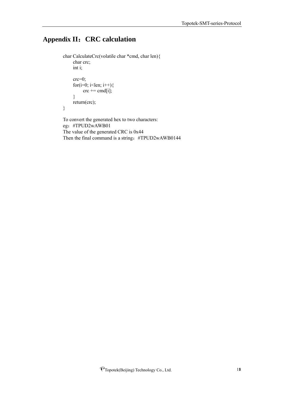# <span id="page-17-0"></span>**Appendix II**:**CRC calculation**

```
char CalculateCrc(volatile char *cmd, char len){ 
     char crc;
     int i;
     crc=0;
     for(i=0; i<len; i++){
           \text{crc} \mathrel{+}= \text{cmd}[i];}
     return(crc);
}
To convert the generated hex to two characters:
```
eg:#TPUD2wAWB01 The value of the generated CRC is 0x44 Then the final command is a string: #TPUD2wAWB0144